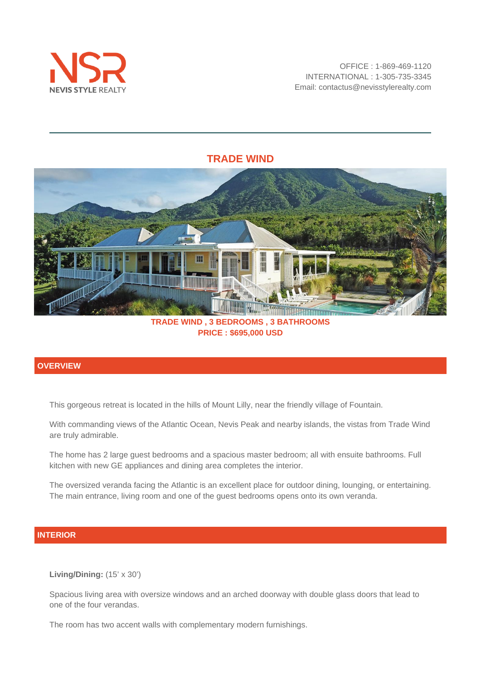

# **TRADE WIND**



**TRADE WIND , 3 BEDROOMS , 3 BATHROOMS PRICE : \$695,000 USD**

### **OVERVIEW**

This gorgeous retreat is located in the hills of Mount Lilly, near the friendly village of Fountain.

With commanding views of the Atlantic Ocean, Nevis Peak and nearby islands, the vistas from Trade Wind are truly admirable.

The home has 2 large guest bedrooms and a spacious master bedroom; all with ensuite bathrooms. Full kitchen with new GE appliances and dining area completes the interior.

The oversized veranda facing the Atlantic is an excellent place for outdoor dining, lounging, or entertaining. The main entrance, living room and one of the guest bedrooms opens onto its own veranda.

### **INTERIOR**

#### **Living/Dining:** (15' x 30')

Spacious living area with oversize windows and an arched doorway with double glass doors that lead to one of the four verandas.

The room has two accent walls with complementary modern furnishings.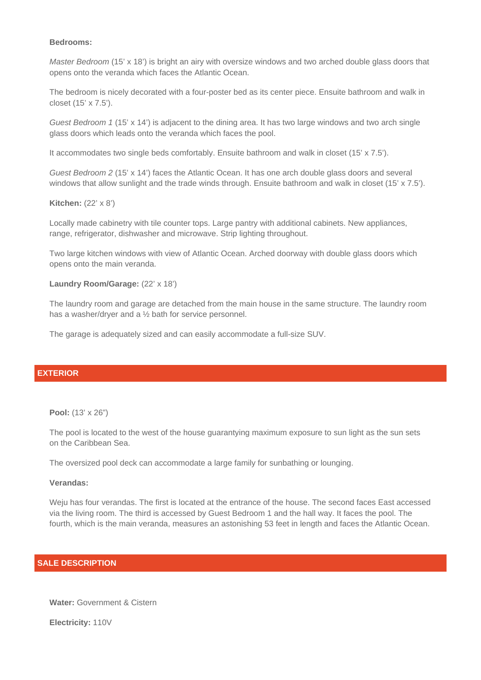#### **Bedrooms:**

Master Bedroom (15' x 18') is bright an airy with oversize windows and two arched double glass doors that opens onto the veranda which faces the Atlantic Ocean.

The bedroom is nicely decorated with a four-poster bed as its center piece. Ensuite bathroom and walk in closet (15' x 7.5').

Guest Bedroom 1 (15' x 14') is adjacent to the dining area. It has two large windows and two arch single glass doors which leads onto the veranda which faces the pool.

It accommodates two single beds comfortably. Ensuite bathroom and walk in closet (15' x 7.5').

Guest Bedroom 2 (15' x 14') faces the Atlantic Ocean. It has one arch double glass doors and several windows that allow sunlight and the trade winds through. Ensuite bathroom and walk in closet (15' x 7.5').

**Kitchen:** (22' x 8')

Locally made cabinetry with tile counter tops. Large pantry with additional cabinets. New appliances, range, refrigerator, dishwasher and microwave. Strip lighting throughout.

Two large kitchen windows with view of Atlantic Ocean. Arched doorway with double glass doors which opens onto the main veranda.

**Laundry Room/Garage:** (22' x 18')

The laundry room and garage are detached from the main house in the same structure. The laundry room has a washer/dryer and a ½ bath for service personnel.

The garage is adequately sized and can easily accommodate a full-size SUV.

#### **EXTERIOR**

**Pool:** (13' x 26")

The pool is located to the west of the house guarantying maximum exposure to sun light as the sun sets on the Caribbean Sea.

The oversized pool deck can accommodate a large family for sunbathing or lounging.

**Verandas:**

Weju has four verandas. The first is located at the entrance of the house. The second faces East accessed via the living room. The third is accessed by Guest Bedroom 1 and the hall way. It faces the pool. The fourth, which is the main veranda, measures an astonishing 53 feet in length and faces the Atlantic Ocean.

### **SALE DESCRIPTION**

**Water:** Government & Cistern

**Electricity:** 110V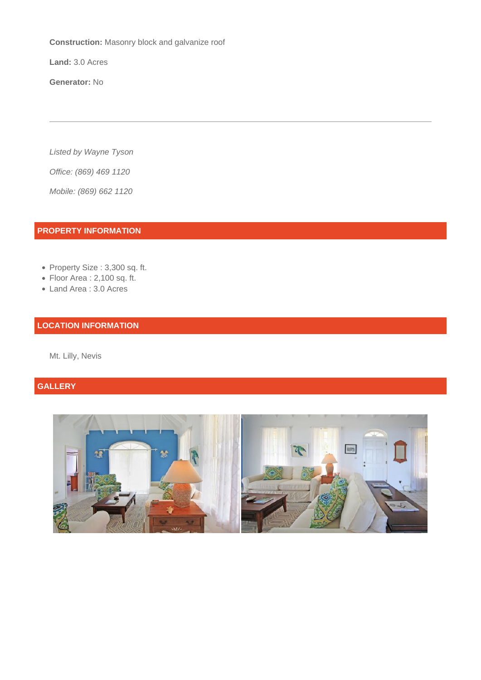**Construction:** Masonry block and galvanize roof

**Land:** 3.0 Acres

**Generator:** No

Listed by Wayne Tyson

Office: (869) 469 1120

Mobile: (869) 662 1120

## **PROPERTY INFORMATION**

- Property Size : 3,300 sq. ft.
- Floor Area : 2,100 sq. ft.
- Land Area : 3.0 Acres

## **LOCATION INFORMATION**

Mt. Lilly, Nevis

## **GALLERY**

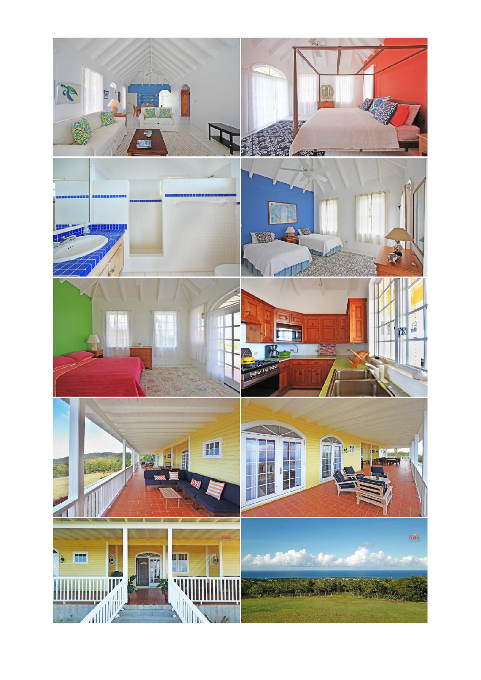